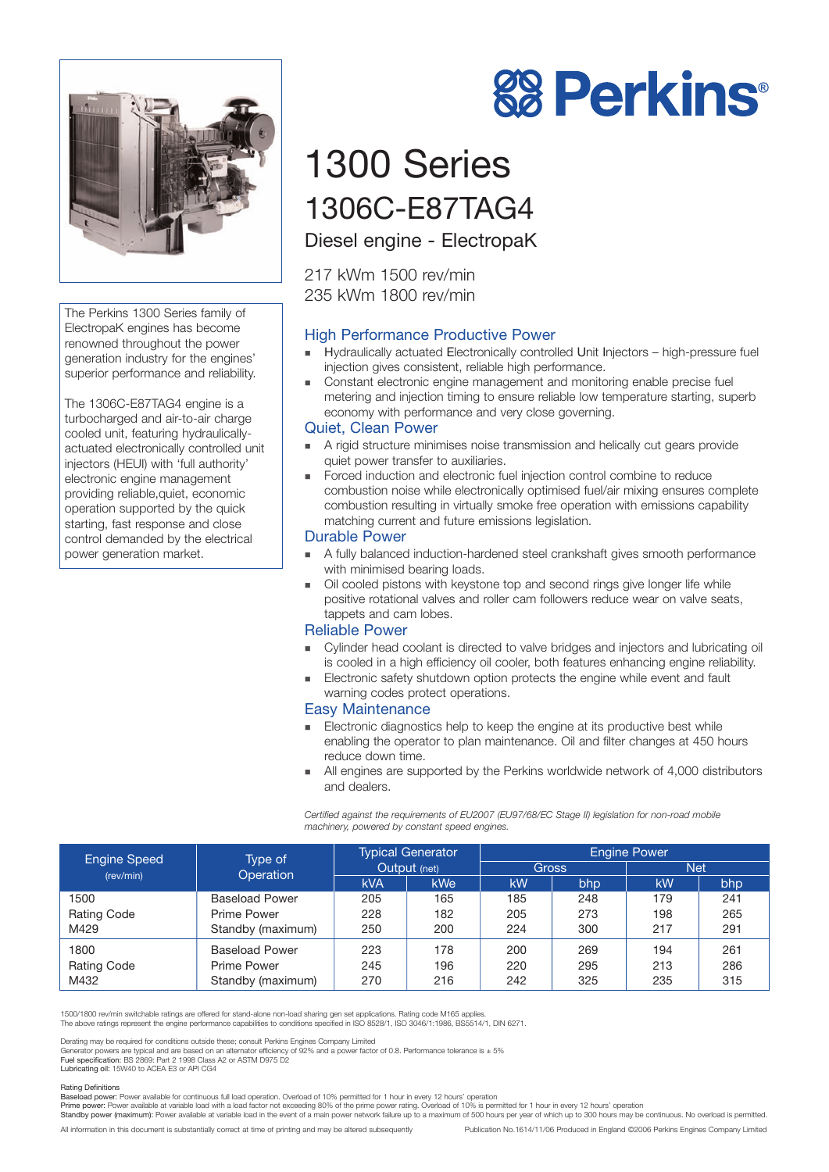

The Perkins 1300 Series family of ElectropaK engines has become renowned throughout the power generation industry for the engines' superior performance and reliability.

The 1306C-E87TAG4 engine is a turbocharged and air-to-air charge cooled unit, featuring hydraulicallyactuated electronically controlled unit injectors (HEUI) with 'full authority' electronic engine management providing reliable,quiet, economic operation supported by the quick starting, fast response and close control demanded by the electrical power generation market.

# **88 Perkins®**

# 1300 Series 1306C-E87TAG4

Diesel engine - ElectropaK

217 kWm 1500 rev/min 235 kWm 1800 rev/min

### High Performance Productive Power

- ! Hydraulically actuated Electronically controlled Unit Injectors high-pressure fuel injection gives consistent, reliable high performance.
- ! Constant electronic engine management and monitoring enable precise fuel metering and injection timing to ensure reliable low temperature starting, superb economy with performance and very close governing.

#### Quiet, Clean Power

- ! A rigid structure minimises noise transmission and helically cut gears provide quiet power transfer to auxiliaries.
- ! Forced induction and electronic fuel injection control combine to reduce combustion noise while electronically optimised fuel/air mixing ensures complete combustion resulting in virtually smoke free operation with emissions capability matching current and future emissions legislation.

#### Durable Power

- ! A fully balanced induction-hardened steel crankshaft gives smooth performance with minimised bearing loads.
- **.** Oil cooled pistons with keystone top and second rings give longer life while positive rotational valves and roller cam followers reduce wear on valve seats, tappets and cam lobes.

#### Reliable Power

- ! Cylinder head coolant is directed to valve bridges and injectors and lubricating oil is cooled in a high efficiency oil cooler, both features enhancing engine reliability.
- **Electronic safety shutdown option protects the engine while event and fault** warning codes protect operations.

#### Easy Maintenance

- **Electronic diagnostics help to keep the engine at its productive best while** enabling the operator to plan maintenance. Oil and filter changes at 450 hours reduce down time.
- ! All engines are supported by the Perkins worldwide network of 4,000 distributors and dealers.

*Certified against the requirements of EU2007 (EU97/68/EC Stage II) legislation for non-road mobile machinery, powered by constant speed engines.*

| <b>Engine Speed</b><br>(rev/min) | Type of<br>Operation  | <b>Typical Generator</b><br>Output (net) |            | <b>Engine Power</b> |     |            |     |
|----------------------------------|-----------------------|------------------------------------------|------------|---------------------|-----|------------|-----|
|                                  |                       |                                          |            | Gross               |     | <b>Net</b> |     |
|                                  |                       | <b>kVA</b>                               | <b>kWe</b> | kW                  | bhp | kW         | bhp |
| 1500                             | <b>Baseload Power</b> | 205                                      | 165        | 185                 | 248 | 179        | 241 |
| <b>Rating Code</b>               | Prime Power           | 228                                      | 182        | 205                 | 273 | 198        | 265 |
| M429                             | Standby (maximum)     | 250                                      | 200        | 224                 | 300 | 217        | 291 |
| 1800                             | <b>Baseload Power</b> | 223                                      | 178        | 200                 | 269 | 194        | 261 |
| <b>Rating Code</b>               | Prime Power           | 245                                      | 196        | 220                 | 295 | 213        | 286 |
| M432                             | Standby (maximum)     | 270                                      | 216        | 242                 | 325 | 235        | 315 |

1500/1800 rev/min switchable ratings are offered for stand-alone non-load sharing gen set applications. Rating code M165 applies. The above ratings represent the engine performance capabilities to conditions specified in ISO 8528/1, ISO 3046/1:1986, BS5514/1, DIN 6271.

Derating may be required for conditions outside these; consult Perkins Engines Company Limited<br>Generator powers are typical and are based on an alternator efficiency of 92% and a power factor of 0.8. Performance tolerance

Lubricating oil: 15W40 to ACEA E3 or API CG4

#### Rating Definitions

Baseload power: Power available for continuous full load operation. Overload of 10% permitted for 1 hour in every 12 hours' operation<br>Prime power: Power available at variable load with a load factor not exceeding 80% of th